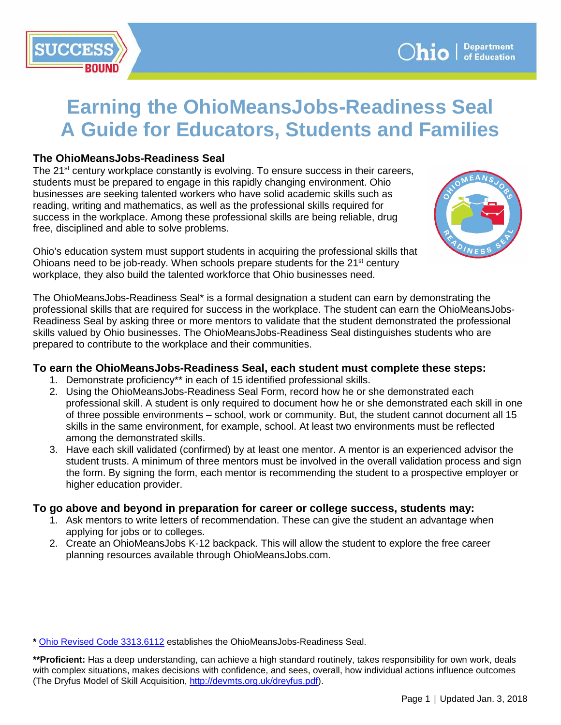# **Earning the OhioMeansJobs-Readiness Seal A Guide for Educators, Students and Families**

## **The OhioMeansJobs-Readiness Seal**

The 21<sup>st</sup> century workplace constantly is evolving. To ensure success in their careers, students must be prepared to engage in this rapidly changing environment. Ohio businesses are seeking talented workers who have solid academic skills such as reading, writing and mathematics, as well as the professional skills required for success in the workplace. Among these professional skills are being reliable, drug free, disciplined and able to solve problems.

Ohio's education system must support students in acquiring the professional skills that Ohioans need to be job-ready. When schools prepare students for the  $21<sup>st</sup>$  century workplace, they also build the talented workforce that Ohio businesses need.

The OhioMeansJobs-Readiness Seal\* is a formal designation a student can earn by demonstrating the professional skills that are required for success in the workplace. The student can earn the OhioMeansJobs-Readiness Seal by asking three or more mentors to validate that the student demonstrated the professional skills valued by Ohio businesses. The OhioMeansJobs-Readiness Seal distinguishes students who are prepared to contribute to the workplace and their communities.

### **To earn the OhioMeansJobs-Readiness Seal, each student must complete these steps:**

- 1. Demonstrate proficiency\*\* in each of 15 identified professional skills.
- 2. Using the OhioMeansJobs-Readiness Seal Form, record how he or she demonstrated each professional skill. A student is only required to document how he or she demonstrated each skill in one of three possible environments – school, work or community. But, the student cannot document all 15 skills in the same environment, for example, school. At least two environments must be reflected among the demonstrated skills.
- 3. Have each skill validated (confirmed) by at least one mentor. A mentor is an experienced advisor the student trusts. A minimum of three mentors must be involved in the overall validation process and sign the form. By signing the form, each mentor is recommending the student to a prospective employer or higher education provider.

### **To go above and beyond in preparation for career or college success, students may:**

- 1. Ask mentors to write letters of recommendation. These can give the student an advantage when applying for jobs or to colleges.
- 2. Create an OhioMeansJobs K-12 backpack. This will allow the student to explore the free career planning resources available through OhioMeansJobs.com.

**\*** [Ohio Revised Code 3313.6112](http://codes.ohio.gov/orc/3313.6112) establishes the OhioMeansJobs-Readiness Seal.

**\*\*Proficient:** Has a deep understanding, can achieve a high standard routinely, takes responsibility for own work, deals with complex situations, makes decisions with confidence, and sees, overall, how individual actions influence outcomes (The Dryfus Model of Skill Acquisition, [http://devmts.org.uk/dreyfus.pdf\)](http://devmts.org.uk/dreyfus.pdf).